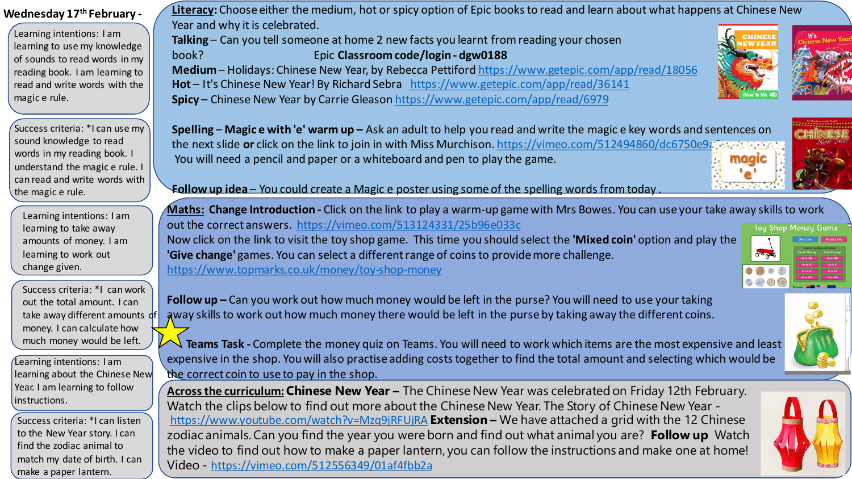| Wednesday 17th February -                                                                                                                                                                                         | Literacy: Choose either the medium, hot or spicy option of Epic books to read and learn about what happens at Chinese New                                                                                                                                                                                                                                                                                                                                                                                                                                                               |
|-------------------------------------------------------------------------------------------------------------------------------------------------------------------------------------------------------------------|-----------------------------------------------------------------------------------------------------------------------------------------------------------------------------------------------------------------------------------------------------------------------------------------------------------------------------------------------------------------------------------------------------------------------------------------------------------------------------------------------------------------------------------------------------------------------------------------|
| Learning intentions: I am<br>learning to use my knowledge<br>of sounds to read words in my<br>reading book. I am learning to<br>read and write words with the<br>magic e rule.                                    | Year and why it is celebrated.<br>Talking - Can you tell someone at home 2 new facts you learnt from reading your chosen<br>Epic Classroom code/login - dgw0188<br>book?<br>Medium - Holidays: Chinese New Year, by Rebecca Pettiford https://www.getepic.com/app/read/18056<br>Hot-It's Chinese New Year! By Richard Sebra https://www.getepic.com/app/read/36141<br>Spicy - Chinese New Year by Carrie Gleason https://www.getepic.com/app/read/6979                                                                                                                                  |
| Success criteria: *I can use my<br>sound knowledge to read<br>words in my reading book. I<br>understand the magic e rule. I<br>can read and write words with<br>the magic e rule.                                 | <b>Spelling – Magice with 'e' warm up –</b> Ask an adult to help you read and write the magice key words and sentences on<br>the next slide or click on the link to join in with Miss Murchison. https://vimeo.com/512494860/dc6750e9<br>You will need a pencil and paper or a whiteboard and pen to play the game.<br>maaic<br>Follow up idea - You could create a Magic e poster using some of the spelling words from today                                                                                                                                                          |
| Learning intentions: I am<br>learning to take away<br>amounts of money. I am<br>learning to work out<br>change given.                                                                                             | Maths: Change Introduction - Click on the link to play a warm-up game with Mrs Bowes. You can use your take away skills to work<br>out the correct answers. https://vimeo.com/513124331/25b96e033c<br><b>Toy Shop Money Game</b><br>Now click on the link to visit the toy shop game. This time you should select the 'Mixed coin' option and play the<br>'Give change' games. You can select a different range of coins to provide more challenge.<br>https://www.topmarks.co.uk/money/toy-shop-money                                                                                  |
| Success criteria: *I can work<br>out the total amount. I can<br>take away different amounts<br>money. I can calculate how<br>much money would be left.<br>Learning intentions: I am                               | Follow $up$ – Can you work out how much money would be left in the purse? You will need to use your taking<br>away skills to work out how much money there would be left in the purse by taking away the different coins.<br>Teams Task - Complete the money quiz on Teams. You will need to work which items are the most expensive and least<br>expensive in the shop. You will also practise adding costs together to find the total amount and selecting which would be                                                                                                             |
| learning about the Chinese New<br>Year. I am learning to follow<br>instructions.<br>Success criteria: *I can listen<br>to the New Year story. I can<br>find the zodiac animal to<br>match my date of birth. I can | the correct coin to use to pay in the shop.<br>Across the curriculum: Chinese New Year - The Chinese New Year was celebrated on Friday 12th February.<br>Watch the clips below to find out more about the Chinese New Year. The Story of Chinese New Year -<br>https://www.youtube.com/watch?v=Mzq9jRFUjRA Extension - We have attached a grid with the 12 Chinese<br>zodiac animals. Can you find the year you were born and find out what animal you are? Follow up Watch<br>the video to find out how to make a paper lantern, you can follow the instructions and make one at home! |

**Range of** 

Video - <https://vimeo.com/512556349/01af4fbb2a>

make a paper lantern.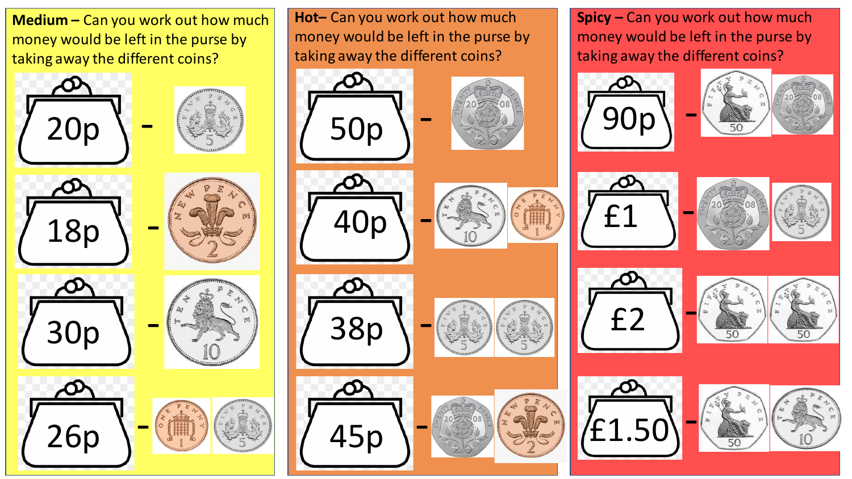**Medium –** Can you work out how much money would be left in the purse by taking away the different coins?















**Hot–** Can you work out how much money would be left in the purse by taking away the different coins?

















**Spicy –** Can you work out how much money would be left in the purse by taking away the different coins?















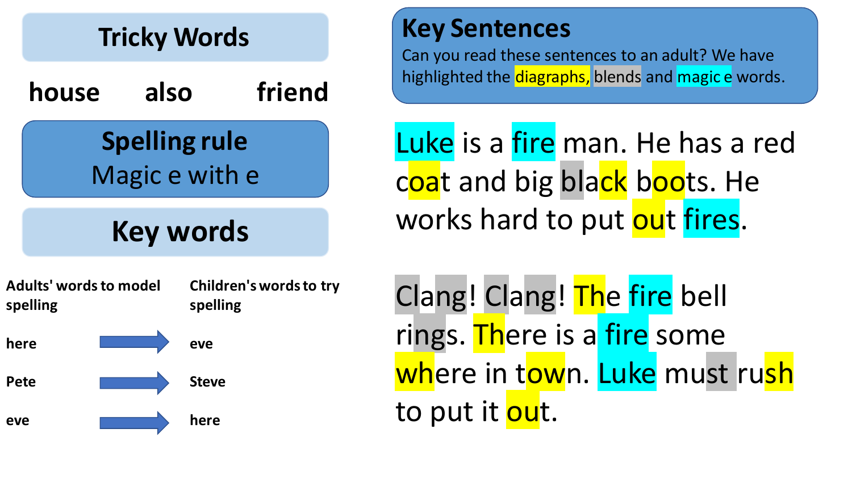

**Steve** 

**here**

**Pete** 

**eve**

## **Key Sentences**

Can you read these sentences to an adult? We have highlighted the diagraphs, blends and magic e words.

Luke is a fire man. He has a red coat and big black boots. He works hard to put out fires.

Clang! Clang! The fire bell rings. There is a fire some where in town. Luke must rush to put it out.